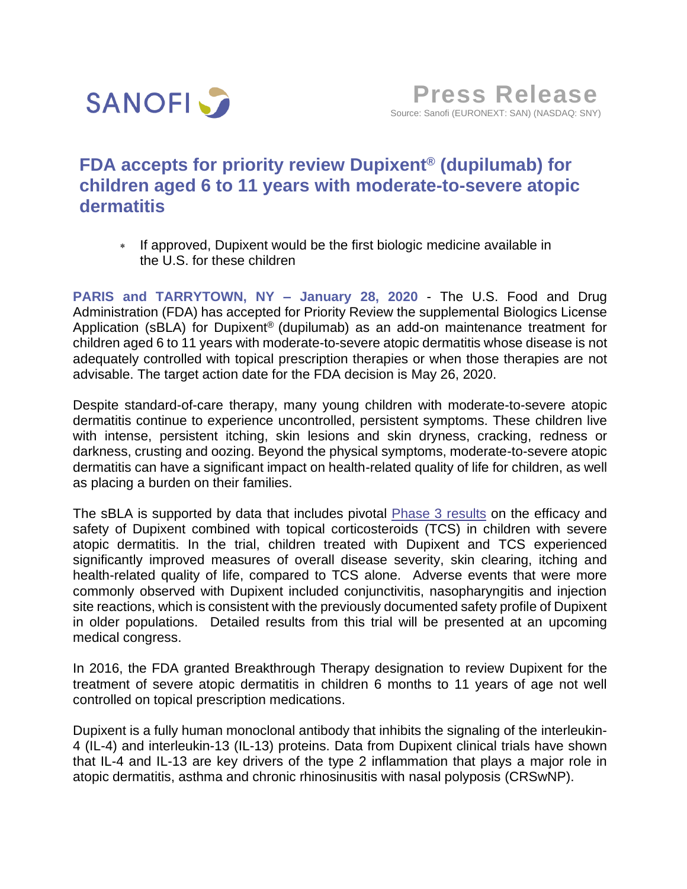

# **FDA accepts for priority review Dupixent® (dupilumab) for children aged 6 to 11 years with moderate-to-severe atopic dermatitis**

\* If approved, Dupixent would be the first biologic medicine available in the U.S. for these children

**PARIS and TARRYTOWN, NY – January 28, 2020** - The U.S. Food and Drug Administration (FDA) has accepted for Priority Review the supplemental Biologics License Application (sBLA) for Dupixent<sup>®</sup> (dupilumab) as an add-on maintenance treatment for children aged 6 to 11 years with moderate-to-severe atopic dermatitis whose disease is not adequately controlled with topical prescription therapies or when those therapies are not advisable. The target action date for the FDA decision is May 26, 2020.

Despite standard-of-care therapy, many young children with moderate-to-severe atopic dermatitis continue to experience uncontrolled, persistent symptoms. These children live with intense, persistent itching, skin lesions and skin dryness, cracking, redness or darkness, crusting and oozing. Beyond the physical symptoms, moderate-to-severe atopic dermatitis can have a significant impact on health-related quality of life for children, as well as placing a burden on their families.

The sBLA is supported by data that includes pivotal [Phase 3 results](https://www.sanofi.com/en/media-room/press-releases/2019/2019-08-06-07-05-00) on the efficacy and safety of Dupixent combined with topical corticosteroids (TCS) in children with severe atopic dermatitis. In the trial, children treated with Dupixent and TCS experienced significantly improved measures of overall disease severity, skin clearing, itching and health-related quality of life, compared to TCS alone. Adverse events that were more commonly observed with Dupixent included conjunctivitis, nasopharyngitis and injection site reactions, which is consistent with the previously documented safety profile of Dupixent in older populations. Detailed results from this trial will be presented at an upcoming medical congress.

In 2016, the FDA granted Breakthrough Therapy designation to review Dupixent for the treatment of severe atopic dermatitis in children 6 months to 11 years of age not well controlled on topical prescription medications.

Dupixent is a fully human monoclonal antibody that inhibits the signaling of the interleukin-4 (IL-4) and interleukin-13 (IL-13) proteins. Data from Dupixent clinical trials have shown that IL-4 and IL-13 are key drivers of the type 2 inflammation that plays a major role in atopic dermatitis, asthma and chronic rhinosinusitis with nasal polyposis (CRSwNP).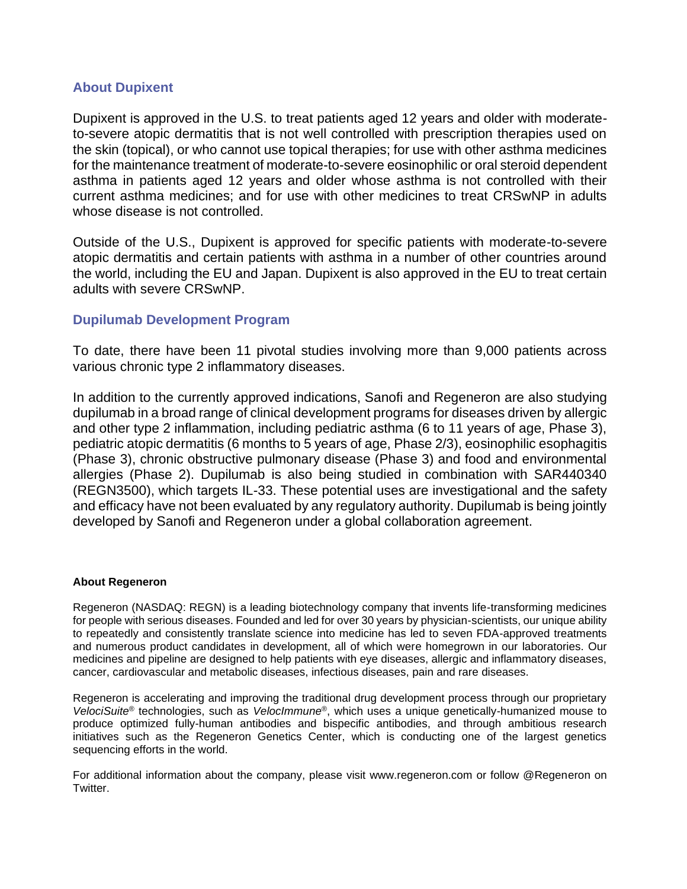## **About Dupixent**

Dupixent is approved in the U.S. to treat patients aged 12 years and older with moderateto-severe atopic dermatitis that is not well controlled with prescription therapies used on the skin (topical), or who cannot use topical therapies; for use with other asthma medicines for the maintenance treatment of moderate-to-severe eosinophilic or oral steroid dependent asthma in patients aged 12 years and older whose asthma is not controlled with their current asthma medicines; and for use with other medicines to treat CRSwNP in adults whose disease is not controlled.

Outside of the U.S., Dupixent is approved for specific patients with moderate-to-severe atopic dermatitis and certain patients with asthma in a number of other countries around the world, including the EU and Japan. Dupixent is also approved in the EU to treat certain adults with severe CRSwNP.

## **Dupilumab Development Program**

To date, there have been 11 pivotal studies involving more than 9,000 patients across various chronic type 2 inflammatory diseases.

In addition to the currently approved indications, Sanofi and Regeneron are also studying dupilumab in a broad range of clinical development programs for diseases driven by allergic and other type 2 inflammation, including pediatric asthma (6 to 11 years of age, Phase 3), pediatric atopic dermatitis (6 months to 5 years of age, Phase 2/3), eosinophilic esophagitis (Phase 3), chronic obstructive pulmonary disease (Phase 3) and food and environmental allergies (Phase 2). Dupilumab is also being studied in combination with SAR440340 (REGN3500), which targets IL-33. These potential uses are investigational and the safety and efficacy have not been evaluated by any regulatory authority. Dupilumab is being jointly developed by Sanofi and Regeneron under a global collaboration agreement.

### **About Regeneron**

Regeneron (NASDAQ: REGN) is a leading biotechnology company that invents life-transforming medicines for people with serious diseases. Founded and led for over 30 years by physician-scientists, our unique ability to repeatedly and consistently translate science into medicine has led to seven FDA-approved treatments and numerous product candidates in development, all of which were homegrown in our laboratories. Our medicines and pipeline are designed to help patients with eye diseases, allergic and inflammatory diseases, cancer, cardiovascular and metabolic diseases, infectious diseases, pain and rare diseases.

Regeneron is accelerating and improving the traditional drug development process through our proprietary *VelociSuite*® technologies, such as *VelocImmune*®, which uses a unique genetically-humanized mouse to produce optimized fully-human antibodies and bispecific antibodies, and through ambitious research initiatives such as the Regeneron Genetics Center, which is conducting one of the largest genetics sequencing efforts in the world.

For additional information about the company, please visit www.regeneron.com or follow @Regeneron on Twitter.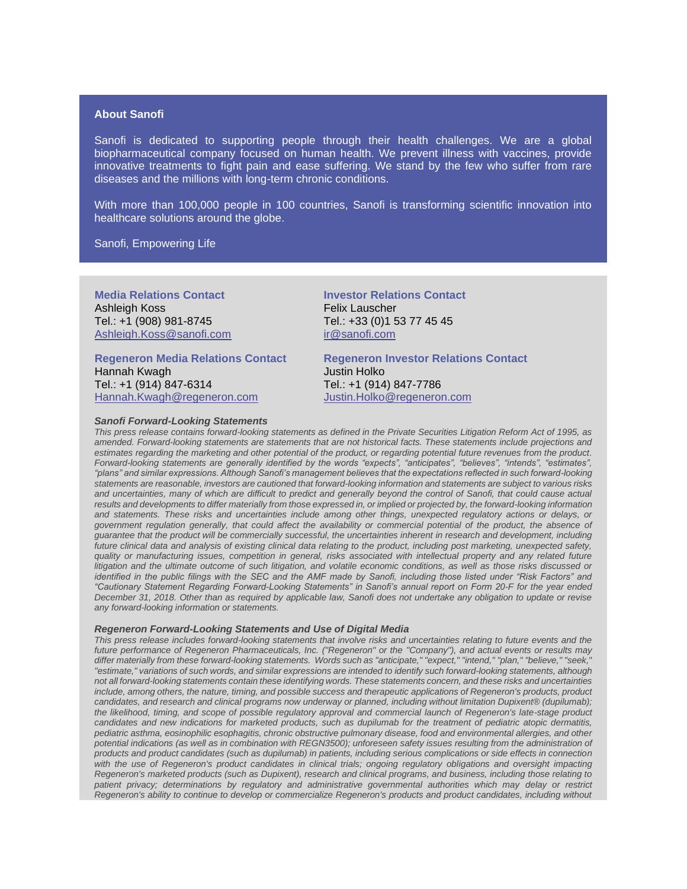### **About Sanofi**

Sanofi is dedicated to supporting people through their health challenges. We are a global biopharmaceutical company focused on human health. We prevent illness with vaccines, provide innovative treatments to fight pain and ease suffering. We stand by the few who suffer from rare diseases and the millions with long-term chronic conditions.

With more than 100,000 people in 100 countries, Sanofi is transforming scientific innovation into healthcare solutions around the globe.

Sanofi, Empowering Life

**Media Relations Contact** Ashleigh Koss Tel.: +1 (908) 981-8745 Ashleigh.Koss@sanofi.com

**Regeneron Media Relations Contact** Hannah Kwagh Tel.: +1 (914) 847-6314 [Hannah.Kwagh@regeneron.com](mailto:Hannah.Kwagh@regeneron.com)

*Sanofi Forward-Looking Statements*

**Investor Relations Contact** Felix Lauscher Tel.: +33 (0)1 53 77 45 45 [ir@sanofi.com](mailto:ir@sanofi.com)

**Regeneron Investor Relations Contact** Justin Holko Tel.: +1 (914) 847-7786 Justin.Holko@regeneron.com

*This press release contains forward-looking statements as defined in the Private Securities Litigation Reform Act of 1995, as amended. Forward-looking statements are statements that are not historical facts. These statements include projections and estimates regarding the marketing and other potential of the product, or regarding potential future revenues from the product. Forward-looking statements are generally identified by the words "expects", "anticipates", "believes", "intends", "estimates", "plans" and similar expressions. Although Sanofi's management believes that the expectations reflected in such forward-looking statements are reasonable, investors are cautioned that forward-looking information and statements are subject to various risks and uncertainties, many of which are difficult to predict and generally beyond the control of Sanofi, that could cause actual results and developments to differ materially from those expressed in, or implied or projected by, the forward-looking information and statements. These risks and uncertainties include among other things, unexpected regulatory actions or delays, or government regulation generally, that could affect the availability or commercial potential of the product, the absence of guarantee that the product will be commercially successful, the uncertainties inherent in research and development, including future clinical data and analysis of existing clinical data relating to the product, including post marketing, unexpected safety, quality or manufacturing issues, competition in general, risks associated with intellectual property and any related future litigation and the ultimate outcome of such litigation, and volatile economic conditions, as well as those risks discussed or identified in the public filings with the SEC and the AMF made by Sanofi, including those listed under "Risk Factors" and "Cautionary Statement Regarding Forward-Looking Statements" in Sanofi's annual report on Form 20-F for the year ended December 31, 2018. Other than as required by applicable law, Sanofi does not undertake any obligation to update or revise any forward-looking information or statements.*

#### *Regeneron Forward-Looking Statements and Use of Digital Media*

*This press release includes forward-looking statements that involve risks and uncertainties relating to future events and the future performance of Regeneron Pharmaceuticals, Inc. ("Regeneron" or the "Company"), and actual events or results may differ materially from these forward-looking statements. Words such as "anticipate," "expect," "intend," "plan," "believe," "seek," "estimate," variations of such words, and similar expressions are intended to identify such forward-looking statements, although not all forward-looking statements contain these identifying words. These statements concern, and these risks and uncertainties include, among others, the nature, timing, and possible success and therapeutic applications of Regeneron's products, product candidates, and research and clinical programs now underway or planned, including without limitation Dupixent® (dupilumab); the likelihood, timing, and scope of possible regulatory approval and commercial launch of Regeneron's late-stage product candidates and new indications for marketed products, such as dupilumab for the treatment of pediatric atopic dermatitis, pediatric asthma, eosinophilic esophagitis, chronic obstructive pulmonary disease, food and environmental allergies, and other potential indications (as well as in combination with REGN3500); unforeseen safety issues resulting from the administration of products and product candidates (such as dupilumab) in patients, including serious complications or side effects in connection*  with the use of Regeneron's product candidates in clinical trials; ongoing regulatory obligations and oversight impacting *Regeneron's marketed products (such as Dupixent), research and clinical programs, and business, including those relating to patient privacy; determinations by regulatory and administrative governmental authorities which may delay or restrict Regeneron's ability to continue to develop or commercialize Regeneron's products and product candidates, including without*